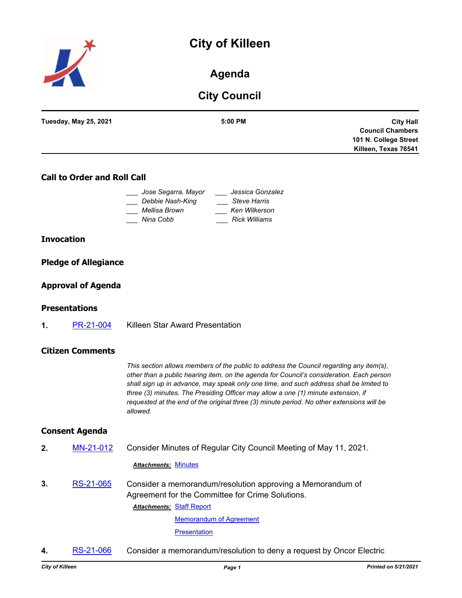# **City of Killeen**



# **Agenda**

# **City Council**

| <b>Tuesday, May 25, 2021</b> | 5:00 PM | <b>City Hall</b>        |
|------------------------------|---------|-------------------------|
|                              |         | <b>Council Chambers</b> |
|                              |         | 101 N. College Street   |
|                              |         | Killeen, Texas 76541    |
|                              |         |                         |

## **Call to Order and Roll Call**

| Jose Segarra, Mayor | Jessica Gonzalez     |
|---------------------|----------------------|
| Debbie Nash-King    | <b>Steve Harris</b>  |
| Mellisa Brown       | Ken Wilkerson        |
| Nina Cobb           | <b>Rick Williams</b> |

#### **Invocation**

#### **Pledge of Allegiance**

#### **Approval of Agenda**

#### **Presentations**

**1.** [PR-21-004](http://killeen.legistar.com/gateway.aspx?m=l&id=/matter.aspx?key=5477) Killeen Star Award Presentation

#### **Citizen Comments**

*This section allows members of the public to address the Council regarding any item(s), other than a public hearing item, on the agenda for Council's consideration. Each person shall sign up in advance, may speak only one time, and such address shall be limited to three (3) minutes. The Presiding Officer may allow a one (1) minute extension, if requested at the end of the original three (3) minute period. No other extensions will be allowed.*

#### **Consent Agenda**

**2.** [MN-21-012](http://killeen.legistar.com/gateway.aspx?m=l&id=/matter.aspx?key=5472) Consider Minutes of Regular City Council Meeting of May 11, 2021.

#### *Attachments:* [Minutes](http://killeen.legistar.com/gateway.aspx?M=F&ID=e12ec0f5-ecd9-4162-bf49-30a769b26f1a.pdf)

**3.** [RS-21-065](http://killeen.legistar.com/gateway.aspx?m=l&id=/matter.aspx?key=5426) Consider a memorandum/resolution approving a Memorandum of Agreement for the Committee for Crime Solutions.

**Attachments: [Staff Report](http://killeen.legistar.com/gateway.aspx?M=F&ID=d927902f-864a-484e-a7da-459d1e78826a.pdf)** 

[Memorandum of Agreement](http://killeen.legistar.com/gateway.aspx?M=F&ID=4d5c452e-fd72-48e1-8cd4-7c6ae3f1b233.pdf) **[Presentation](http://killeen.legistar.com/gateway.aspx?M=F&ID=c3af0746-a13a-46cf-841f-f32bd8f08e51.pdf)** 

**4.** [RS-21-066](http://killeen.legistar.com/gateway.aspx?m=l&id=/matter.aspx?key=5468) Consider a memorandum/resolution to deny a request by Oncor Electric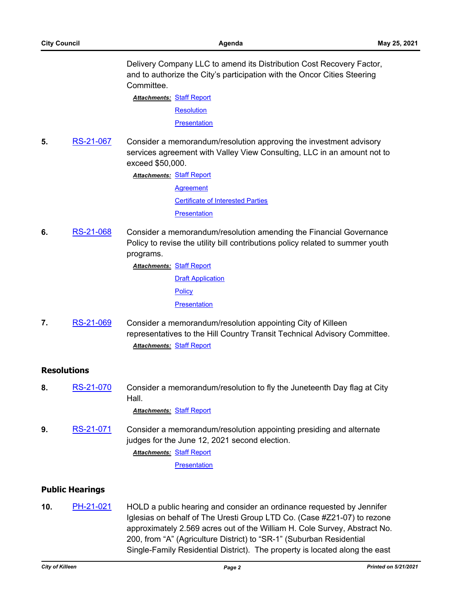Delivery Company LLC to amend its Distribution Cost Recovery Factor, and to authorize the City's participation with the Oncor Cities Steering Committee.

**Attachments: [Staff Report](http://killeen.legistar.com/gateway.aspx?M=F&ID=9c55e70a-3747-4d3d-9a56-91d26329c9f9.pdf) [Resolution](http://killeen.legistar.com/gateway.aspx?M=F&ID=99c467b8-2eeb-4ddf-81ad-63726d0e845d.pdf) [Presentation](http://killeen.legistar.com/gateway.aspx?M=F&ID=639756fa-d29a-4c59-b7c7-fe39fe367076.pdf)** 

**5.** [RS-21-067](http://killeen.legistar.com/gateway.aspx?m=l&id=/matter.aspx?key=5462) Consider a memorandum/resolution approving the investment advisory services agreement with Valley View Consulting, LLC in an amount not to exceed \$50,000.

> **Attachments: [Staff Report](http://killeen.legistar.com/gateway.aspx?M=F&ID=f82b9194-c34c-46cd-a3cd-ec4516ecbc3c.pdf) [Agreement](http://killeen.legistar.com/gateway.aspx?M=F&ID=7df49f8b-833f-4c5c-ae82-c67681f4ef63.pdf)** [Certificate of Interested Parties](http://killeen.legistar.com/gateway.aspx?M=F&ID=4aad5f51-3e17-41ca-9edf-92d9592aa259.pdf) **[Presentation](http://killeen.legistar.com/gateway.aspx?M=F&ID=bb4da292-46d3-4608-b228-108374568a0a.pdf)**

**6.** [RS-21-068](http://killeen.legistar.com/gateway.aspx?m=l&id=/matter.aspx?key=5405) Consider a memorandum/resolution amending the Financial Governance Policy to revise the utility bill contributions policy related to summer youth programs.

[Staff Report](http://killeen.legistar.com/gateway.aspx?M=F&ID=4bd85f6c-bcce-4d5f-86f8-7cc89802d101.pdf) *Attachments:*

**[Draft Application](http://killeen.legistar.com/gateway.aspx?M=F&ID=cc50bae2-f513-4c20-b0d4-1bc7ecef5d54.pdf) [Policy](http://killeen.legistar.com/gateway.aspx?M=F&ID=4b8ac11f-a5fd-4513-bf73-747b53087f5d.pdf) [Presentation](http://killeen.legistar.com/gateway.aspx?M=F&ID=8539ed06-b4b7-4af4-8357-46b4505d9ced.pdf)** 

**7.** [RS-21-069](http://killeen.legistar.com/gateway.aspx?m=l&id=/matter.aspx?key=5485) Consider a memorandum/resolution appointing City of Killeen representatives to the Hill Country Transit Technical Advisory Committee. *Attachments:* [Staff Report](http://killeen.legistar.com/gateway.aspx?M=F&ID=7fd56fe4-d338-441a-bbf1-884c89e8fbf9.pdf)

## **Resolutions**

**8.** [RS-21-070](http://killeen.legistar.com/gateway.aspx?m=l&id=/matter.aspx?key=5500) Consider a memorandum/resolution to fly the Juneteenth Day flag at City Hall.

*Attachments:* [Staff Report](http://killeen.legistar.com/gateway.aspx?M=F&ID=e346ff93-72b3-4571-9b4e-99aad4b4ed04.pdf)

**9.** [RS-21-071](http://killeen.legistar.com/gateway.aspx?m=l&id=/matter.aspx?key=5501) Consider a memorandum/resolution appointing presiding and alternate judges for the June 12, 2021 second election. [Staff Report](http://killeen.legistar.com/gateway.aspx?M=F&ID=1115530f-e6a4-4a00-a5e4-cb48054a7e0b.pdf) *Attachments:*

**[Presentation](http://killeen.legistar.com/gateway.aspx?M=F&ID=a23c27e2-6b30-4bc2-b195-8be9109361c6.pdf)** 

### **Public Hearings**

**10.** [PH-21-021](http://killeen.legistar.com/gateway.aspx?m=l&id=/matter.aspx?key=5414) HOLD a public hearing and consider an ordinance requested by Jennifer Iglesias on behalf of The Uresti Group LTD Co. (Case #Z21-07) to rezone approximately 2.569 acres out of the William H. Cole Survey, Abstract No. 200, from "A" (Agriculture District) to "SR-1" (Suburban Residential Single-Family Residential District). The property is located along the east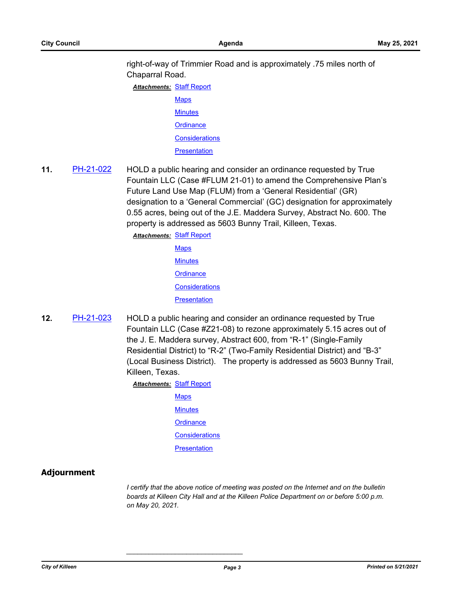right-of-way of Trimmier Road and is approximately .75 miles north of Chaparral Road.

**Attachments: [Staff Report](http://killeen.legistar.com/gateway.aspx?M=F&ID=71de6e4b-7d2d-43b4-8368-e2c559d7133b.pdf)** 

- **[Maps](http://killeen.legistar.com/gateway.aspx?M=F&ID=d8e4e707-70ba-474a-a11d-ef47395b266f.pdf) [Minutes](http://killeen.legistar.com/gateway.aspx?M=F&ID=624044ea-e03d-4ec5-befa-42933e0b654e.pdf)**
- **[Ordinance](http://killeen.legistar.com/gateway.aspx?M=F&ID=bbb94fd3-0980-4846-87b3-59cfaf86b896.pdf)**
- **[Considerations](http://killeen.legistar.com/gateway.aspx?M=F&ID=477e9032-0688-4fcf-8a90-6d51b8fd99b1.pdf)**
- **[Presentation](http://killeen.legistar.com/gateway.aspx?M=F&ID=caebec27-cbf5-49c1-81be-3b1ea6e9922c.pdf)**
- **11.** [PH-21-022](http://killeen.legistar.com/gateway.aspx?m=l&id=/matter.aspx?key=5465) HOLD a public hearing and consider an ordinance requested by True Fountain LLC (Case #FLUM 21-01) to amend the Comprehensive Plan's Future Land Use Map (FLUM) from a 'General Residential' (GR) designation to a 'General Commercial' (GC) designation for approximately 0.55 acres, being out of the J.E. Maddera Survey, Abstract No. 600. The property is addressed as 5603 Bunny Trail, Killeen, Texas.

**Attachments: [Staff Report](http://killeen.legistar.com/gateway.aspx?M=F&ID=7e0e7b8d-6aad-4acb-9314-ec793e9322ed.pdf) [Maps](http://killeen.legistar.com/gateway.aspx?M=F&ID=1a84117c-ef38-4888-8d5f-2a3a41b69b06.pdf) [Minutes](http://killeen.legistar.com/gateway.aspx?M=F&ID=ec5b2351-7937-4bb6-8f8a-5c6cfaac13f8.pdf) [Ordinance](http://killeen.legistar.com/gateway.aspx?M=F&ID=ef9f2140-8e00-409c-b6de-786a894128bf.pdf) [Considerations](http://killeen.legistar.com/gateway.aspx?M=F&ID=00b4364e-154b-4228-a8bb-8679a989ca4a.pdf) [Presentation](http://killeen.legistar.com/gateway.aspx?M=F&ID=b40feb43-d60c-4cb9-9fac-4619a6f535fe.pdf)** 

**12.** [PH-21-023](http://killeen.legistar.com/gateway.aspx?m=l&id=/matter.aspx?key=5466) HOLD a public hearing and consider an ordinance requested by True Fountain LLC (Case #Z21-08) to rezone approximately 5.15 acres out of the J. E. Maddera survey, Abstract 600, from "R-1" (Single-Family Residential District) to "R-2" (Two-Family Residential District) and "B-3" (Local Business District). The property is addressed as 5603 Bunny Trail, Killeen, Texas.

**Attachments: [Staff Report](http://killeen.legistar.com/gateway.aspx?M=F&ID=2c8ab8a2-7e18-4e9f-9102-41297fc8a938.pdf)** 

**[Maps](http://killeen.legistar.com/gateway.aspx?M=F&ID=7a0ae927-87b8-4f39-8dd2-ef36abf4b409.pdf) [Minutes](http://killeen.legistar.com/gateway.aspx?M=F&ID=58a75a00-a1de-40d9-a58d-8e93d94744ad.pdf) [Ordinance](http://killeen.legistar.com/gateway.aspx?M=F&ID=66b30885-05b3-45f1-89c7-a46d5e9bb012.pdf) [Considerations](http://killeen.legistar.com/gateway.aspx?M=F&ID=318f817d-e46b-4e25-bf77-04df1c206762.pdf) [Presentation](http://killeen.legistar.com/gateway.aspx?M=F&ID=ad892a9f-5e4b-43ed-ba8d-03d8e25a43f6.pdf)** 

*\_\_\_\_\_\_\_\_\_\_\_\_\_\_\_\_\_\_\_\_\_\_\_\_\_\_\_\_\_\_\_*

# **Adjournment**

*I certify that the above notice of meeting was posted on the Internet and on the bulletin boards at Killeen City Hall and at the Killeen Police Department on or before 5:00 p.m. on May 20, 2021.*